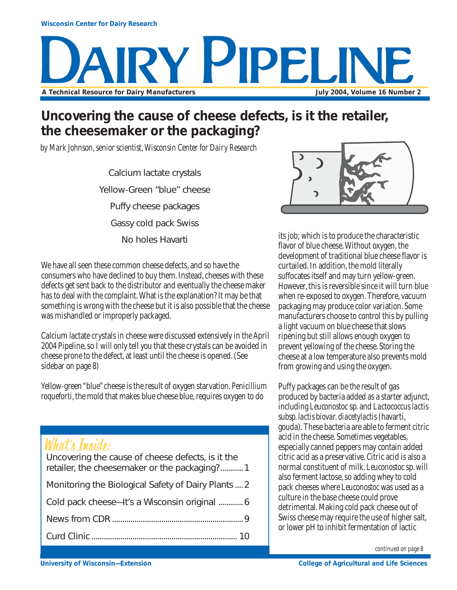

### **Uncovering the cause of cheese defects, is it the retailer, the cheesemaker or the packaging?**

*by Mark Johnson, senior scientist, Wisconsin Center for Dairy Research*

Calcium lactate crystals Yellow-Green "blue" cheese Puffy cheese packages Gassy cold pack Swiss No holes Havarti

We have all seen these common cheese defects, and so have the consumers who have declined to buy them. Instead, cheeses with these defects get sent back to the distributor and eventually the cheese maker has to deal with the complaint. What is the explanation? It may be that something is wrong with the cheese but it is also possible that the cheese was mishandled or improperly packaged.

Calcium lactate crystals in cheese were discussed extensively in the April 2004 Pipeline, so I will only tell you that these crystals can be avoided in cheese prone to the defect, at least until the cheese is opened. (See sidebar on page 8)

Yellow-green "blue" cheese is the result of oxygen starvation. *Penicillium roqueforti*, the mold that makes blue cheese blue, requires oxygen to do

# What's Inside:

| Uncovering the cause of cheese defects, is it the<br>retailer, the cheesemaker or the packaging?1 |
|---------------------------------------------------------------------------------------------------|
| Monitoring the Biological Safety of Dairy Plants  2                                               |
| Cold pack cheese-It's a Wisconsin original  6                                                     |
|                                                                                                   |
|                                                                                                   |



its job; which is to produce the characteristic flavor of blue cheese. Without oxygen, the development of traditional blue cheese flavor is curtailed. In addition, the mold literally suffocates itself and may turn yellow-green. However, this is reversible since it will turn blue when re-exposed to oxygen. Therefore, vacuum packaging may produce color variation. Some manufacturers choose to control this by pulling a light vacuum on blue cheese that slows ripening but still allows enough oxygen to prevent yellowing of the cheese. Storing the cheese at a low temperature also prevents mold from growing and using the oxygen.

Puffy packages can be the result of gas produced by bacteria added as a starter adjunct, including *Leuconostoc* sp. and *Lactococcus lactis subsp. lactis biovar. diacetylactis* (havarti, gouda). These bacteria are able to ferment citric acid in the cheese. Sometimes vegetables, especially canned peppers may contain added citric acid as a preservative. Citric acid is also a normal constituent of milk. *Leuconostoc* sp. will also ferment lactose, so adding whey to cold pack cheeses where *Leuconostoc* was used as a culture in the base cheese could prove detrimental. Making cold pack cheese out of Swiss cheese may require the use of higher salt, or lower pH to inhibit fermentation of lactic

*continued on page 8*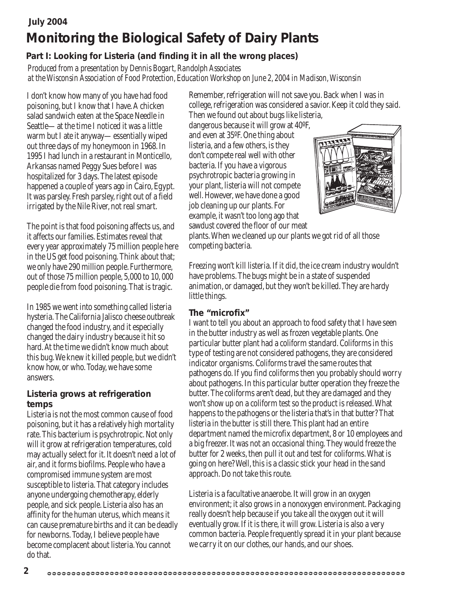### **July 2004 Monitoring the Biological Safety of Dairy Plants**

### **Part I: Looking for Listeria (and finding it in all the wrong places)**

*Produced from a presentation by Dennis Bogart, Randolph Associates at the Wisconsin Association of Food Protection, Education Workshop on June 2, 2004 in Madison, Wisconsin*

I don't know how many of you have had food poisoning, but I know that I have. A chicken salad sandwich eaten at the Space Needle in Seattle—at the time I noticed it was a little warm but I ate it anyway—essentially wiped out three days of my honeymoon in 1968. In 1995 I had lunch in a restaurant in Monticello, Arkansas named Peggy Sues before I was hospitalized for 3 days. The latest episode happened a couple of years ago in Cairo, Egypt. It was parsley. Fresh parsley, right out of a field irrigated by the Nile River, not real smart.

The point is that food poisoning affects us, and it affects our families. Estimates reveal that every year approximately 75 million people here in the US get food poisoning. Think about that; we only have 290 million people. Furthermore, out of those 75 million people, 5,000 to 10, 000 people die from food poisoning. That is tragic.

In 1985 we went into something called listeria hysteria. The California Jalisco cheese outbreak changed the food industry, and it especially changed the dairy industry because it hit so hard. At the time we didn't know much about this bug. We knew it killed people, but we didn't know how, or who. Today, we have some answers.

#### **Listeria grows at refrigeration temps**

Listeria is not the most common cause of food poisoning, but it has a relatively high mortality rate. This bacterium is psychrotropic. Not only will it grow at refrigeration temperatures, cold may actually select for it. It doesn't need a lot of air, and it forms biofilms. People who have a compromised immune system are most susceptible to listeria. That category includes anyone undergoing chemotherapy, elderly people, and sick people. Listeria also has an affinity for the human uterus, which means it can cause premature births and it can be deadly for newborns. Today, I believe people have become complacent about listeria. You cannot do that.

Remember, refrigeration will not save you. Back when I was in college, refrigeration was considered a savior. Keep it cold they said. Then we found out about bugs like listeria,

dangerous because it will grow at 40ºF, and even at 35ºF. One thing about listeria, and a few others, is they don't compete real well with other bacteria. If you have a vigorous psychrotropic bacteria growing in your plant, listeria will not compete well. However, we have done a good job cleaning up our plants. For example, it wasn't too long ago that sawdust covered the floor of our meat



plants. When we cleaned up our plants we got rid of all those competing bacteria.

Freezing won't kill listeria. If it did, the ice cream industry wouldn't have problems. The bugs might be in a state of suspended animation, or damaged, but they won't be killed. They are hardy little things.

#### **The "microfix"**

I want to tell you about an approach to food safety that I have seen in the butter industry as well as frozen vegetable plants. One particular butter plant had a coliform standard. Coliforms in this type of testing are not considered pathogens, they are considered indicator organisms. Coliforms travel the same routes that pathogens do. If you find coliforms then you probably should worry about pathogens. In this particular butter operation they freeze the butter. The coliforms aren't dead, but they are damaged and they won't show up on a coliform test so the product is released. What happens to the pathogens or the listeria that's in that butter? That listeria in the butter is still there. This plant had an entire department named the microfix department, 8 or 10 employees and a big freezer. It was not an occasional thing. They would freeze the butter for 2 weeks, then pull it out and test for coliforms. What is going on here? Well, this is a classic stick your head in the sand approach. Do not take this route.

Listeria is a facultative anaerobe. It will grow in an oxygen environment; it also grows in a nonoxygen environment. Packaging really doesn't help because if you take all the oxygen out it will eventually grow. If it is there, it will grow. Listeria is also a very common bacteria. People frequently spread it in your plant because we carry it on our clothes, our hands, and our shoes.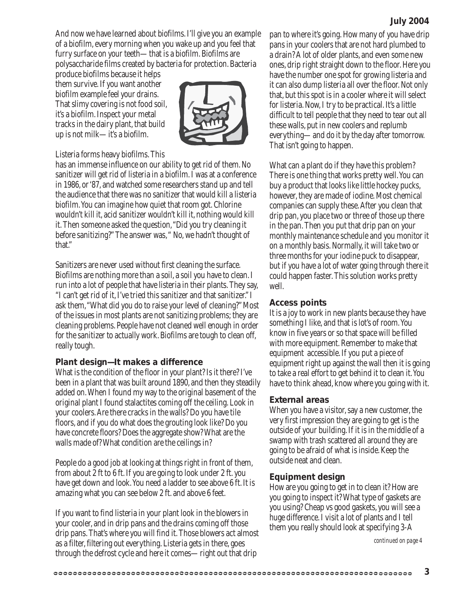#### **July 2004**

And now we have learned about biofilms. I'll give you an example of a biofilm, every morning when you wake up and you feel that furry surface on your teeth—that is a biofilm. Biofilms are polysaccharide films created by bacteria for protection. Bacteria

produce biofilms because it helps them survive. If you want another biofilm example feel your drains. That slimy covering is not food soil, it's a biofilm. Inspect your metal tracks in the dairy plant, that build up is not milk—it's a biofilm.



#### Listeria forms heavy biofilms. This

has an immense influence on our ability to get rid of them. No sanitizer will get rid of listeria in a biofilm. I was at a conference in 1986, or '87, and watched some researchers stand up and tell the audience that there was no sanitizer that would kill a listeria biofilm. You can imagine how quiet that room got. Chlorine wouldn't kill it, acid sanitizer wouldn't kill it, nothing would kill it. Then someone asked the question, "Did you try cleaning it before sanitizing?" The answer was, " No, we hadn't thought of that."

Sanitizers are never used without first cleaning the surface. Biofilms are nothing more than a soil, a soil you have to clean. I run into a lot of people that have listeria in their plants. They say, "I can't get rid of it, I've tried this sanitizer and that sanitizer." I ask them, "What did you do to raise your level of cleaning?" Most of the issues in most plants are not sanitizing problems; they are cleaning problems. People have not cleaned well enough in order for the sanitizer to actually work. Biofilms are tough to clean off, really tough.

#### **Plant design—It makes a difference**

What is the condition of the floor in your plant? Is it there? I've been in a plant that was built around 1890, and then they steadily added on. When I found my way to the original basement of the original plant I found stalactites coming off the ceiling. Look in your coolers. Are there cracks in the walls? Do you have tile floors, and if you do what does the grouting look like? Do you have concrete floors? Does the aggregate show? What are the walls made of? What condition are the ceilings in?

People do a good job at looking at things right in front of them, from about 2 ft to 6 ft. If you are going to look under 2 ft. you have get down and look. You need a ladder to see above 6 ft. It is amazing what you can see below 2 ft. and above 6 feet.

If you want to find listeria in your plant look in the blowers in your cooler, and in drip pans and the drains coming off those drip pans. That's where you will find it. Those blowers act almost as a filter, filtering out everything. Listeria gets in there, goes through the defrost cycle and here it comes—right out that drip

pan to where it's going. How many of you have drip pans in your coolers that are not hard plumbed to a drain? A lot of older plants, and even some new ones, drip right straight down to the floor. Here you have the number one spot for growing listeria and it can also dump listeria all over the floor. Not only that, but this spot is in a cooler where it will select for listeria. Now, I try to be practical. It's a little difficult to tell people that they need to tear out all these walls, put in new coolers and replumb everything—and do it by the day after tomorrow. That isn't going to happen.

What can a plant do if they have this problem? There is one thing that works pretty well. You can buy a product that looks like little hockey pucks, however, they are made of iodine. Most chemical companies can supply these. After you clean that drip pan, you place two or three of those up there in the pan. Then you put that drip pan on your monthly maintenance schedule and you monitor it on a monthly basis. Normally, it will take two or three months for your iodine puck to disappear, but if you have a lot of water going through there it could happen faster. This solution works pretty well.

#### **Access points**

It is a joy to work in new plants because they have something I like, and that is lot's of room. You know in five years or so that space will be filled with more equipment. Remember to make that equipment accessible. If you put a piece of equipment right up against the wall then it is going to take a real effort to get behind it to clean it. You have to think ahead, know where you going with it.

#### **External areas**

When you have a visitor, say a new customer, the very first impression they are going to get is the outside of your building. If it is in the middle of a swamp with trash scattered all around they are going to be afraid of what is inside. Keep the outside neat and clean.

#### **Equipment design**

How are you going to get in to clean it? How are you going to inspect it? What type of gaskets are you using? Cheap vs good gaskets, you will see a huge difference. I visit a lot of plants and I tell them you really should look at specifying 3-A

*continued on page 4*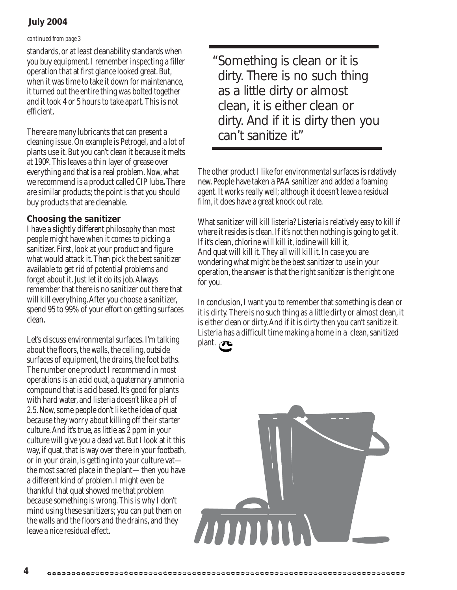#### **July 2004**

#### *continued from page 3*

standards, or at least cleanability standards when you buy equipment. I remember inspecting a filler operation that at first glance looked great. But, when it was time to take it down for maintenance, it turned out the entire thing was bolted together and it took 4 or 5 hours to take apart. This is not efficient.

There are many lubricants that can present a cleaning issue. On example is Petrogel, and a lot of plants use it. But you can't clean it because it melts at 190º. This leaves a thin layer of grease over everything and that is a real problem. Now, what werecommend is a product called CIP lube**.** There are similar products; the point is that you should buy products that are cleanable.

#### **Choosing the sanitizer**

I have a slightly different philosophy than most people might have when it comes to picking a sanitizer. First, look at your product and figure what would attack it. Then pick the best sanitizer available to get rid of potential problems and forget about it. Just let it do its job. Always remember that there is no sanitizer out there that will kill everything. After you choose a sanitizer, spend 95 to 99% of your effort on getting surfaces clean.

Let's discuss environmental surfaces. I'm talking about the floors, the walls, the ceiling, outside surfaces of equipment, the drains, the foot baths. The number one product I recommend in most operations is an acid quat, a quaternary ammonia compound that is acid based. It's good for plants with hard water, and listeria doesn't like a pH of 2.5. Now, some people don't like the idea of quat because they worry about killing off their starter culture. And it's true, as little as 2 ppm in your culture will give you a dead vat. But I look at it this way, if quat, that is way over there in your footbath, or in your drain, is getting into your culture vat the most sacred place in the plant—then you have a different kind of problem. I might even be thankful that quat showed me that problem because something is wrong. This is why I don't mind using these sanitizers; you can put them on the walls and the floors and the drains, and they leave a nice residual effect.

Something is clean or it is "dirty. There is no such thing as a little dirty or almost clean, it is either clean or dirty. And if it is dirty then you can't sanitize it."

The other product I like for environmental surfaces is relatively new. People have taken a PAA sanitizer and added a foaming agent. It works really well; although it doesn't leave a residual film, it does have a great knock out rate.

What sanitizer will kill listeria? Listeria is relatively easy to kill if where it resides is clean. If it's not then nothing is going to get it. If it's clean, chlorine will kill it, iodine will kill it, And quat will kill it. They all will kill it. In case you are wondering what might be the best sanitizer to use in your operation, the answer is that the right sanitizer is the right one for you.

In conclusion, I want you to remember that something is clean or it is dirty. There is no such thing as a little dirty or almost clean, it is either clean or dirty. And if it is dirty then you can't sanitize it. Listeria has a difficult time making a home in a clean, sanitized plant.

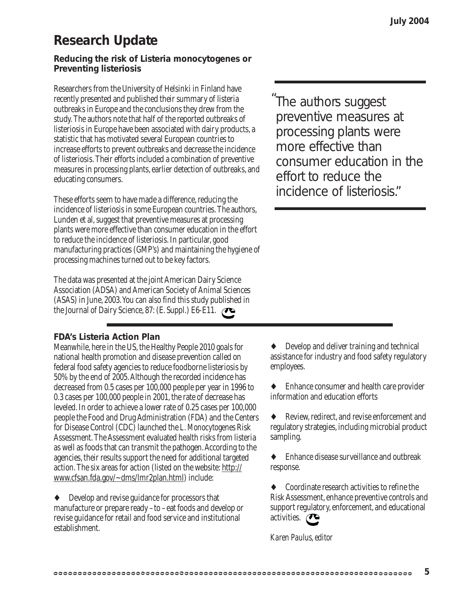# **Research Update**

#### **Reducing the risk of Listeria monocytogenes or Preventing listeriosis**

Researchers from the University of Helsinki in Finland have recently presented and published their summary of listeria outbreaks in Europe and the conclusions they drew from the study. The authors note that half of the reported outbreaks of listeriosis in Europe have been associated with dairy products, a statistic that has motivated several European countries to increase efforts to prevent outbreaks and decrease the incidence of listeriosis. Their efforts included a combination of preventive measures in processing plants, earlier detection of outbreaks, and educating consumers.

These efforts seem to have made a difference, reducing the incidence of listeriosis in some European countries. The authors, Lunden et al, suggest that preventive measures at processing plants were more effective than consumer education in the effort to reduce the incidence of listeriosis. In particular, good manufacturing practices (GMP's) and maintaining the hygiene of processing machines turned out to be key factors.

The data was presented at the joint American Dairy Science Association (ADSA) and American Society of Animal Sciences (ASAS) in June, 2003. You can also find this study published in the Journal of Dairy Science, 87: (E. Suppl.) E6-E11.

#### **FDA's Listeria Action Plan**

Meanwhile, here in the US, the Healthy People 2010 goals for national health promotion and disease prevention called on federal food safety agencies to reduce foodborne listeriosis by 50% by the end of 2005. Although the recorded incidence has decreased from 0.5 cases per 100,000 people per year in 1996 to 0.3 cases per 100,000 people in 2001, the rate of decrease has leveled. In order to achieve a lower rate of 0.25 cases per 100,000 people the Food and Drug Administration (FDA) and the Centers for Disease Control (CDC) launched the *L. Monocytogenes* Risk Assessment. The Assessment evaluated health risks from listeria as well as foods that can transmit the pathogen. According to the agencies, their results support the need for additional targeted action. The six areas for action (listed on the website: http:// www.cfsan.fda.gov/~dms/lmr2plan.html) include:

♦ Develop and revise guidance for processors that manufacture or prepare ready –to –eat foods and develop or revise guidance for retail and food service and institutional establishment.

The authors suggest "preventive measures at processing plants were more effective than consumer education in the effort to reduce the incidence of listeriosis."

Develop and deliver training and technical assistance for industry and food safety regulatory employees.

Enhance consumer and health care provider information and education efforts

♦ Review, redirect, and revise enforcement and regulatory strategies, including microbial product sampling.

Enhance disease surveillance and outbreak response.

Coordinate research activities to refine the Risk Assessment, enhance preventive controls and support regulatory, enforcement, and educational activities. **P** 

*Karen Paulus, editor*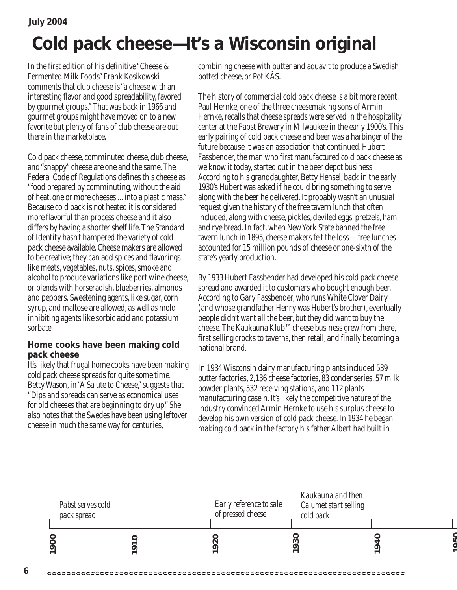```
July 2004
```
# **Cold pack cheese—It's a Wisconsin original**

In the first edition of his definitive "Cheese & Fermented Milk Foods" Frank Kosikowski comments that club cheese is "a cheese with an interesting flavor and good spreadability, favored by gourmet groups." That was back in 1966 and gourmet groups might have moved on to a new favorite but plenty of fans of club cheese are out there in the marketplace.

Cold pack cheese, comminuted cheese, club cheese, and "snappy" cheese are one and the same. The Federal Code of Regulations defines this cheese as "food prepared by comminuting, without the aid of heat, one or more cheeses ... into a plastic mass." Because cold pack is not heated it is considered more flavorful than process cheese and it also differs by having a shorter shelf life. The Standard of Identity hasn't hampered the variety of cold pack cheese available. Cheese makers are allowed to be creative; they can add spices and flavorings like meats, vegetables, nuts, spices, smoke and alcohol to produce variations like port wine cheese, or blends with horseradish, blueberries, almonds and peppers. Sweetening agents, like sugar, corn syrup, and maltose are allowed, as well as mold inhibiting agents like sorbic acid and potassium sorbate.

#### **Home cooks have been making cold pack cheese**

It's likely that frugal home cooks have been making cold pack cheese spreads for quite some time. Betty Wason, in "A Salute to Cheese," suggests that "Dips and spreads can serve as economical uses for old cheeses that are beginning to dry up." She also notes that the Swedes have been using leftover cheese in much the same way for centuries,

combining cheese with butter and aquavit to produce a Swedish potted cheese, or Pot KÂS.

The history of commercial cold pack cheese is a bit more recent. Paul Hernke, one of the three cheesemaking sons of Armin Hernke, recalls that cheese spreads were served in the hospitality center at the Pabst Brewery in Milwaukee in the early 1900's. This early pairing of cold pack cheese and beer was a harbinger of the future because it was an association that continued. Hubert Fassbender, the man who first manufactured cold pack cheese as we know it today, started out in the beer depot business. According to his granddaughter, Betty Hensel, back in the early 1930's Hubert was asked if he could bring something to serve along with the beer he delivered. It probably wasn't an unusual request given the history of the free tavern lunch that often included, along with cheese, pickles, deviled eggs, pretzels, ham and rye bread. In fact, when New York State banned the free tavern lunch in 1895, cheese makers felt the loss—free lunches accounted for 15 million pounds of cheese or one-sixth of the state's yearly production.

By 1933 Hubert Fassbender had developed his cold pack cheese spread and awarded it to customers who bought enough beer. According to Gary Fassbender, who runs White Clover Dairy (and whose grandfather Henry was Hubert's brother), eventually people didn't want all the beer, but they did want to buy the cheese. The Kaukauna Klub™ cheese business grew from there, first selling crocks to taverns, then retail, and finally becoming a national brand.

In 1934 Wisconsin dairy manufacturing plants included 539 butter factories, 2,136 cheese factories, 83 condenseries, 57 milk powder plants, 532 receiving stations, and 112 plants manufacturing casein. It's likely the competitive nature of the industry convinced Armin Hernke to use his surplus cheese to develop his own version of cold pack cheese. In 1934 he began making cold pack in the factory his father Albert had built in



.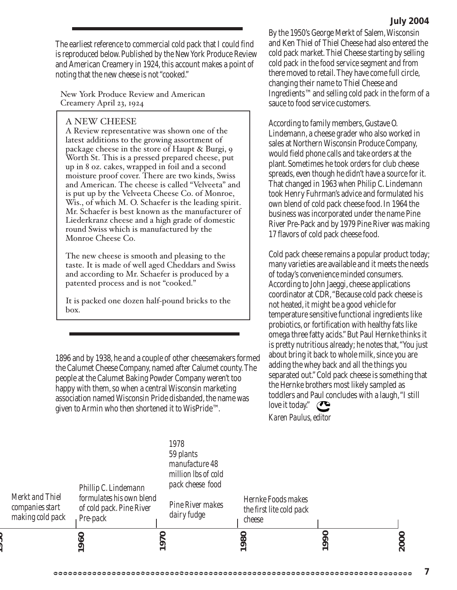The earliest reference to commercial cold pack that I could find is reproduced below. Published by the New York Produce Review and American Creamery in 1924, this account makes a point of noting that the new cheese is not "cooked."

New York Produce Review and American Creamery April 23, 1924

#### A NEW CHEESE

A Review representative was shown one of the latest additions to the growing assortment of package cheese in the store of Haupt & Burgi, 9 Worth St. This is a pressed prepared cheese, put up in 8 oz. cakes, wrapped in foil and a second moisture proof cover. There are two kinds, Swiss and American. The cheese is called "Velveeta" and is put up by the Velveeta Cheese Co. of Monroe, Wis., of which M. O. Schaefer is the leading spirit. Mr. Schaefer is best known as the manufacturer of Liederkranz cheese and a high grade of domestic round Swiss which is manufactured by the Monroe Cheese Co.

The new cheese is smooth and pleasing to the taste. It is made of well aged Cheddars and Swiss and according to Mr. Schaefer is produced by a patented process and is not "cooked."

It is packed one dozen half-pound bricks to the box.

1896 and by 1938, he and a couple of other cheesemakers formed the Calumet Cheese Company, named after Calumet county. The people at the Calumet Baking Powder Company weren't too happy with them, so when a central Wisconsin marketing association named Wisconsin Pride disbanded, the name was given to Armin who then shortened it to WisPride™.

By the 1950's George Merkt of Salem, Wisconsin and Ken Thiel of Thiel Cheese had also entered the cold pack market. Thiel Cheese starting by selling cold pack in the food service segment and from there moved to retail. They have come full circle, changing their name to Thiel Cheese and Ingredients™ and selling cold pack in the form of a sauce to food service customers.

According to family members, Gustave O. Lindemann, a cheese grader who also worked in sales at Northern Wisconsin Produce Company, would field phone calls and take orders at the plant. Sometimes he took orders for club cheese spreads, even though he didn't have a source for it. That changed in 1963 when Philip C. Lindemann took Henry Fuhrman's advice and formulated his own blend of cold pack cheese food. In 1964 the business was incorporated under the name Pine River Pre-Pack and by 1979 Pine River was making 17 flavors of cold pack cheese food.

Cold pack cheese remains a popular product today; many varieties are available and it meets the needs of today's convenience minded consumers. According to John Jaeggi, cheese applications coordinator at CDR, "Because cold pack cheese is not heated, it might be a good vehicle for temperature sensitive functional ingredients like probiotics, or fortification with healthy fats like omega three fatty acids." But Paul Hernke thinks it is pretty nutritious already; he notes that, "You just about bring it back to whole milk, since you are adding the whey back and all the things you separated out." Cold pack cheese is something that the Hernke brothers most likely sampled as toddlers and Paul concludes with a laugh, "I still love it today."

*Karen Paulus, editor*

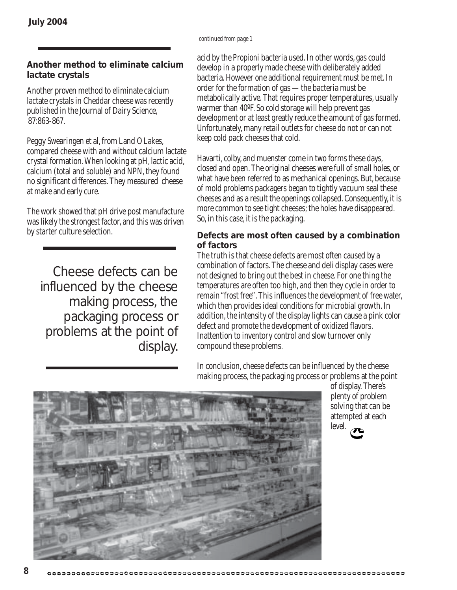#### *continued from page 1*

#### **Another method to eliminate calcium lactate crystals**

Another proven method to eliminate calcium lactate crystals in Cheddar cheese was recently published in the Journal of Dairy Science, 87:863-867.

Peggy Swearingen et al, from Land O Lakes, compared cheese with and without calcium lactate crystal formation. When looking at pH, lactic acid, calcium (total and soluble) and NPN, they found no significant differences. They measured cheese at make and early cure.

The work showed that pH drive post manufacture was likely the strongest factor, and this was driven by starter culture selection.

Cheese defects can be influenced by the cheese making process, the packaging process or problems at the point of display.

acid by the *Propioni* bacteria used. In other words, gas could develop in a properly made cheese with deliberately added bacteria. However one additional requirement must be met. In order for the formation of gas —the bacteria must be metabolically active. That requires proper temperatures, usually warmer than 40ºF. So cold storage will help prevent gas development or at least greatly reduce the amount of gas formed. Unfortunately, many retail outlets for cheese do not or can not keep cold pack cheeses that cold.

Havarti, colby, and muenster come in two forms these days, closed and open. The original cheeses were full of small holes, or what have been referred to as mechanical openings. But, because of mold problems packagers began to tightly vacuum seal these cheeses and as a result the openings collapsed. Consequently, it is more common to see tight cheeses; the holes have disappeared. So, in this case, it is the packaging.

#### **Defects are most often caused by a combination of factors**

The truth is that cheese defects are most often caused by a combination of factors. The cheese and deli display cases were not designed to bring out the best in cheese. For one thing the temperatures are often too high, and then they cycle in order to remain "frost free". This influences the development of free water, which then provides ideal conditions for microbial growth. In addition, the intensity of the display lights can cause a pink color defect and promote the development of oxidized flavors. Inattention to inventory control and slow turnover only compound these problems.

In conclusion, cheese defects can be influenced by the cheese making process, the packaging process or problems at the point

> of display. There's plenty of problem solving that can be attempted at each



level.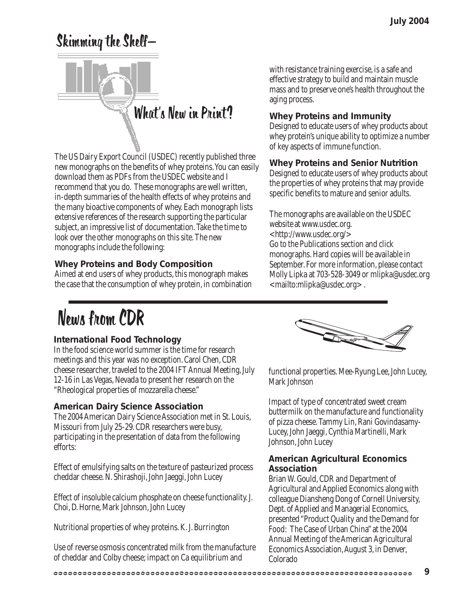# Skimming the Shelf—



The US Dairy Export Council (USDEC) recently published three new monographs on the benefits of whey proteins. You can easily download them as PDFs from the USDEC website and I recommend that you do. These monographs are well written, in-depth summaries of the health effects of whey proteins and the many bioactive components of whey. Each monograph lists extensive references of the research supporting the particular subject, an impressive list of documentation. Take the time to look over the other monographs on this site. The new monographs include the following:

#### **Whey Proteins and Body Composition**

Aimed at end users of whey products, this monograph makes the case that the consumption of whey protein, in combination with resistance training exercise, is a safe and effective strategy to build and maintain muscle mass and to preserve one's health throughout the aging process.

#### **Whey Proteins and Immunity**

Designed to educate users of whey products about whey protein's unique ability to optimize a number of key aspects of immune function.

#### **Whey Proteins and Senior Nutrition**

Designed to educate users of whey products about the properties of whey proteins that may provide specific benefits to mature and senior adults.

The monographs are available on the USDEC website at www.usdec.org. <http://www.usdec.org/> Go to the Publications section and click monographs. Hard copies will be available in September. For more information, please contact Molly Lipka at 703-528-3049 or mlipka@usdec.org <mailto:mlipka@usdec.org> .

# News from CDR

#### **International Food Technology**

In the food science world summer is the time for research meetings and this year was no exception. Carol Chen, CDR cheese researcher, traveled to the 2004 IFT Annual Meeting, July 12-16 in Las Vegas, Nevada to present her research on the "Rheological properties of mozzarella cheese."

#### **American Dairy Science Association**

The 2004 American Dairy Science Association met in St. Louis, Missouri from July 25-29. CDR researchers were busy, participating in the presentation of data from the following efforts:

Effect of emulsifying salts on the texture of pasteurized process cheddar cheese. N. Shirashoji, John Jaeggi, John Lucey

Effect of insoluble calcium phosphate on cheese functionality. J. Choi, D. Horne, Mark Johnson, John Lucey

Nutritional properties of whey proteins. K. J. Burrington

Use of reverse osmosis concentrated milk from the manufacture of cheddar and Colby cheese; impact on Ca equilibrium and



functional properties. Mee-Ryung Lee, John Lucey, Mark Johnson

Impact of type of concentrated sweet cream buttermilk on the manufacture and functionality of pizza cheese. Tammy Lin, Rani Govindasamy-Lucey, John Jaeggi, Cynthia Martinelli, Mark Johnson, John Lucey

#### **American Agricultural Economics Association**

Brian W. Gould, CDR and Department of Agricultural and Applied Economics along with colleague Diansheng Dong of Cornell University, Dept. of Applied and Managerial Economics, presented "Product Quality and the Demand for Food: The Case of Urban China" at the 2004 Annual Meeting of the American Agricultural Economics Association, August 3, in Denver, Colorado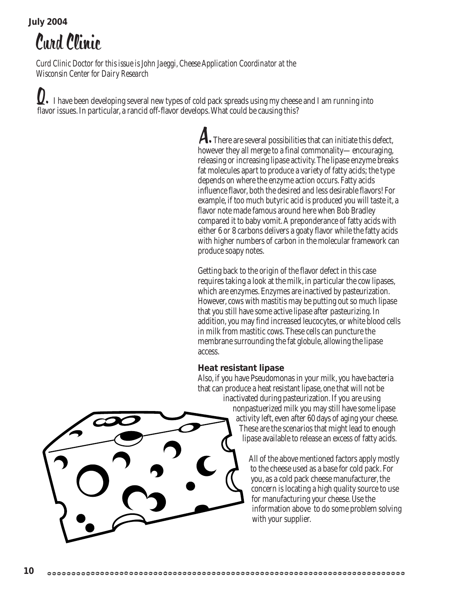#### **July 2004**

Curd Clinic

*Curd Clinic Doctor for this issue is John Jaeggi, Cheese Application Coordinator at the Wisconsin Center for Dairy Research*

**I**. I have been developing several new types of cold pack spreads using my cheese and I am running into flavor issues. In particular, a rancid off-flavor develops. What could be causing this?

> A. There are several possibilities that can initiate this defect, however they all merge to a final commonality—encouraging, releasing or increasing lipase activity. The lipase enzyme breaks fat molecules apart to produce a variety of fatty acids; the type depends on where the enzyme action occurs. Fatty acids influence flavor, both the desired and less desirable flavors! For example, if too much butyric acid is produced you will taste it, a flavor note made famous around here when Bob Bradley compared it to baby vomit. A preponderance of fatty acids with either 6 or 8 carbons delivers a goaty flavor while the fatty acids with higher numbers of carbon in the molecular framework can produce soapy notes.

> Getting back to the origin of the flavor defect in this case requires taking a look at the milk, in particular the cow lipases, which are enzymes. Enzymes are inactived by pasteurization. However, cows with mastitis may be putting out so much lipase that you still have some active lipase after pasteurizing. In addition, you may find increased leucocytes, or white blood cells in milk from mastitic cows. These cells can puncture the membrane surrounding the fat globule, allowing the lipase access.

#### **Heat resistant lipase**

Also, if you have Pseudomonas in your milk, you have bacteria that can produce a heat resistant lipase, one that will not be inactivated during pasteurization. If you are using nonpastuerized milk you may still have some lipase activity left, even after 60 days of aging your cheese. These are the scenarios that might lead to enough lipase available to release an excess of fatty acids.

> All of the above mentioned factors apply mostly to the cheese used as a base for cold pack. For you, as a cold pack cheese manufacturer, the concern is locating a high quality source to use for manufacturing your cheese. Use the information above to do some problem solving with your supplier.

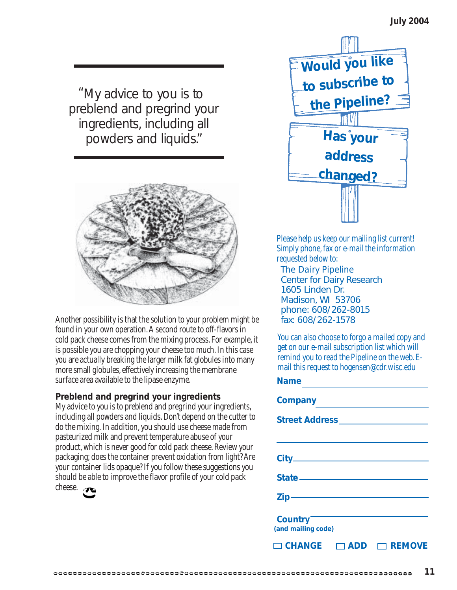"My advice to you is to preblend and pregrind your ingredients, including all powders and liquids."



Another possibility is that the solution to your problem might be found in your own operation. A second route to off-flavors in cold pack cheese comes from the mixing process. For example, it is possible you are chopping your cheese too much. In this case you are actually breaking the larger milk fat globules into many more small globules, effectively increasing the membrane surface area available to the lipase enzyme.

#### **Preblend and pregrind your ingredients**

My advice to you is to preblend and pregrind your ingredients, including all powders and liquids. Don't depend on the cutter to do the mixing. In addition, you should use cheese made from pasteurized milk and prevent temperature abuse of your product, which is never good for cold pack cheese. Review your packaging; does the container prevent oxidation from light? Are your container lids opaque? If you follow these suggestions you should be able to improve the flavor profile of your cold pack cheese.



Please help us keep our mailing list current! Simply phone, fax or e-mail the information requested below to:

*The Dairy Pipeline* Center for Dairy Research 1605 Linden Dr. Madison, WI 53706 phone: 608/262-8015 fax: 608/262-1578

You can also choose to forgo a mailed copy and get on our e-mail subscription list which will remind you to read the Pipeline on the web. Email this request to hogensen@cdr.wisc.edu

#### **Name**

| <b>Company</b>                             |               |
|--------------------------------------------|---------------|
|                                            |               |
|                                            |               |
|                                            |               |
|                                            |               |
|                                            |               |
| Country <sup>-</sup><br>(and mailing code) |               |
| $\Box$ CHANGE $\Box$<br>ADD                | <b>REMOVE</b> |